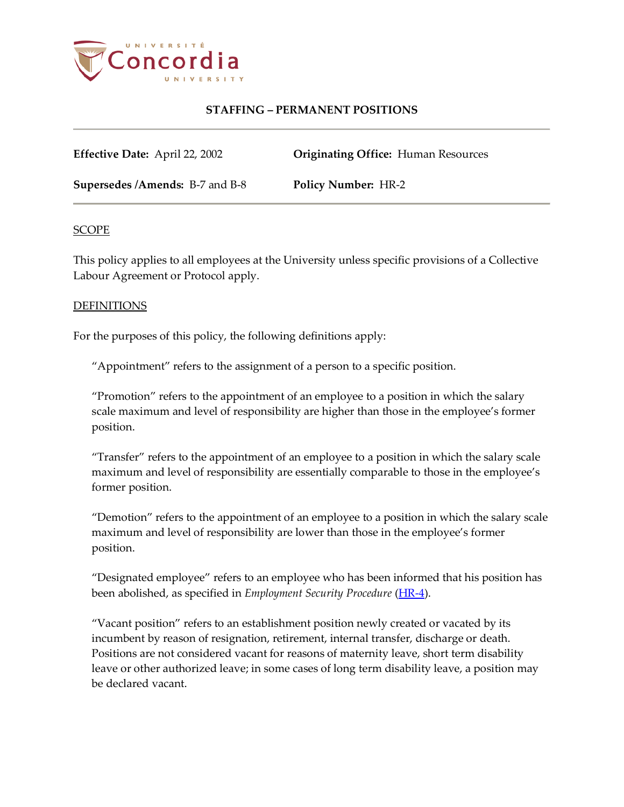

**Effective Date:** April 22, 2002 **Originating Office:** Human Resources

**Supersedes /Amends:** B-7 and B-8 **Policy Number:** HR-2

#### SCOPE

This policy applies to all employees at the University unless specific provisions of a Collective Labour Agreement or Protocol apply.

#### DEFINITIONS

For the purposes of this policy, the following definitions apply:

"Appointment" refers to the assignment of a person to a specific position.

"Promotion" refers to the appointment of an employee to a position in which the salary scale maximum and level of responsibility are higher than those in the employee's former position.

"Transfer" refers to the appointment of an employee to a position in which the salary scale maximum and level of responsibility are essentially comparable to those in the employee's former position.

"Demotion" refers to the appointment of an employee to a position in which the salary scale maximum and level of responsibility are lower than those in the employee's former position.

"Designated employee" refers to an employee who has been informed that his position has been abolished, as specified in *Employment Security Procedure* [\(HR-4\)](http://www.concordia.ca/vpirsg/documents/policies/HR-4.pdf).

"Vacant position" refers to an establishment position newly created or vacated by its incumbent by reason of resignation, retirement, internal transfer, discharge or death. Positions are not considered vacant for reasons of maternity leave, short term disability leave or other authorized leave; in some cases of long term disability leave, a position may be declared vacant.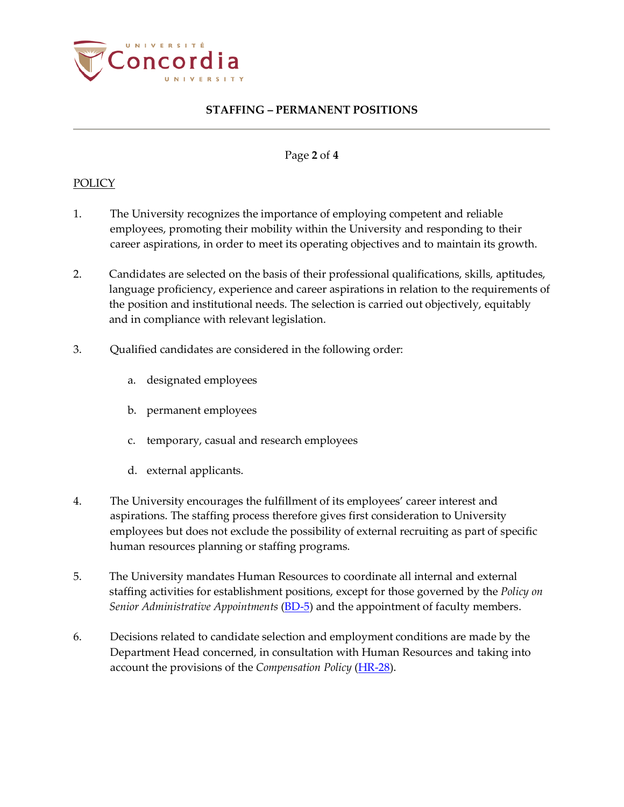

#### Page **2** of **4**

#### **POLICY**

- 1. The University recognizes the importance of employing competent and reliable employees, promoting their mobility within the University and responding to their career aspirations, in order to meet its operating objectives and to maintain its growth.
- 2. Candidates are selected on the basis of their professional qualifications, skills, aptitudes, language proficiency, experience and career aspirations in relation to the requirements of the position and institutional needs. The selection is carried out objectively, equitably and in compliance with relevant legislation.
- 3. Qualified candidates are considered in the following order:
	- a. designated employees
	- b. permanent employees
	- c. temporary, casual and research employees
	- d. external applicants.
- 4. The University encourages the fulfillment of its employees' career interest and aspirations. The staffing process therefore gives first consideration to University employees but does not exclude the possibility of external recruiting as part of specific human resources planning or staffing programs.
- 5. The University mandates Human Resources to coordinate all internal and external staffing activities for establishment positions, except for those governed by the *Policy on Senior Administrative Appointments* [\(BD-5\)](http://www.concordia.ca/vpirsg/documents/policies/BD-5.pdf) and the appointment of faculty members.
- 6. Decisions related to candidate selection and employment conditions are made by the Department Head concerned, in consultation with Human Resources and taking into account the provisions of the *Compensation Policy* [\(HR-28\)](http://www.concordia.ca/vpirsg/documents/policies/HR-28.pdf).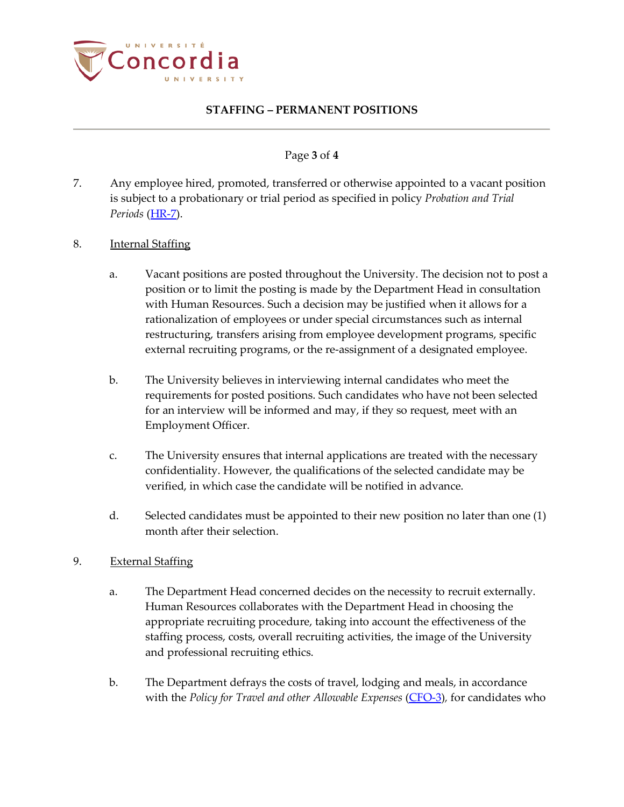

### Page **3** of **4**

- 7. Any employee hired, promoted, transferred or otherwise appointed to a vacant position is subject to a probationary or trial period as specified in policy *Probation and Trial Periods* [\(HR-7\)](http://www.concordia.ca/vpirsg/documents/policies/HR-7.pdf).
- 8. Internal Staffing
	- a. Vacant positions are posted throughout the University. The decision not to post a position or to limit the posting is made by the Department Head in consultation with Human Resources. Such a decision may be justified when it allows for a rationalization of employees or under special circumstances such as internal restructuring, transfers arising from employee development programs, specific external recruiting programs, or the re-assignment of a designated employee.
	- b. The University believes in interviewing internal candidates who meet the requirements for posted positions. Such candidates who have not been selected for an interview will be informed and may, if they so request, meet with an Employment Officer.
	- c. The University ensures that internal applications are treated with the necessary confidentiality. However, the qualifications of the selected candidate may be verified, in which case the candidate will be notified in advance.
	- d. Selected candidates must be appointed to their new position no later than one (1) month after their selection.
- 9. External Staffing
	- a. The Department Head concerned decides on the necessity to recruit externally. Human Resources collaborates with the Department Head in choosing the appropriate recruiting procedure, taking into account the effectiveness of the staffing process, costs, overall recruiting activities, the image of the University and professional recruiting ethics.
	- b. The Department defrays the costs of travel, lodging and meals, in accordance with the *Policy for Travel and other Allowable Expenses* [\(CFO-3\)](http://www.concordia.ca/content/dam/common/docs/policies/official-policies/CFO-3.pdf)*,* for candidates who